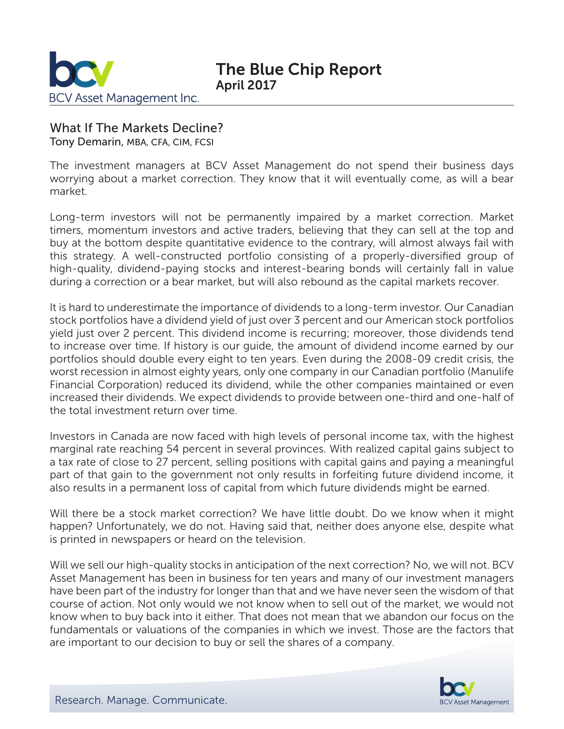

## What If The Markets Decline?

Tony Demarin, MBA, CFA, CIM, FCSI

The investment managers at BCV Asset Management do not spend their business days worrying about a market correction. They know that it will eventually come, as will a bear market.

Long-term investors will not be permanently impaired by a market correction. Market timers, momentum investors and active traders, believing that they can sell at the top and buy at the bottom despite quantitative evidence to the contrary, will almost always fail with this strategy. A well-constructed portfolio consisting of a properly-diversified group of high-quality, dividend-paying stocks and interest-bearing bonds will certainly fall in value during a correction or a bear market, but will also rebound as the capital markets recover.

It is hard to underestimate the importance of dividends to a long-term investor. Our Canadian stock portfolios have a dividend yield of just over 3 percent and our American stock portfolios yield just over 2 percent. This dividend income is recurring; moreover, those dividends tend to increase over time. If history is our guide, the amount of dividend income earned by our portfolios should double every eight to ten years. Even during the 2008-09 credit crisis, the worst recession in almost eighty years, only one company in our Canadian portfolio (Manulife Financial Corporation) reduced its dividend, while the other companies maintained or even increased their dividends. We expect dividends to provide between one-third and one-half of the total investment return over time.

Investors in Canada are now faced with high levels of personal income tax, with the highest marginal rate reaching 54 percent in several provinces. With realized capital gains subject to a tax rate of close to 27 percent, selling positions with capital gains and paying a meaningful part of that gain to the government not only results in forfeiting future dividend income, it also results in a permanent loss of capital from which future dividends might be earned.

Will there be a stock market correction? We have little doubt. Do we know when it might happen? Unfortunately, we do not. Having said that, neither does anyone else, despite what is printed in newspapers or heard on the television.

Will we sell our high-quality stocks in anticipation of the next correction? No, we will not. BCV Asset Management has been in business for ten years and many of our investment managers have been part of the industry for longer than that and we have never seen the wisdom of that course of action. Not only would we not know when to sell out of the market, we would not know when to buy back into it either. That does not mean that we abandon our focus on the fundamentals or valuations of the companies in which we invest. Those are the factors that are important to our decision to buy or sell the shares of a company.

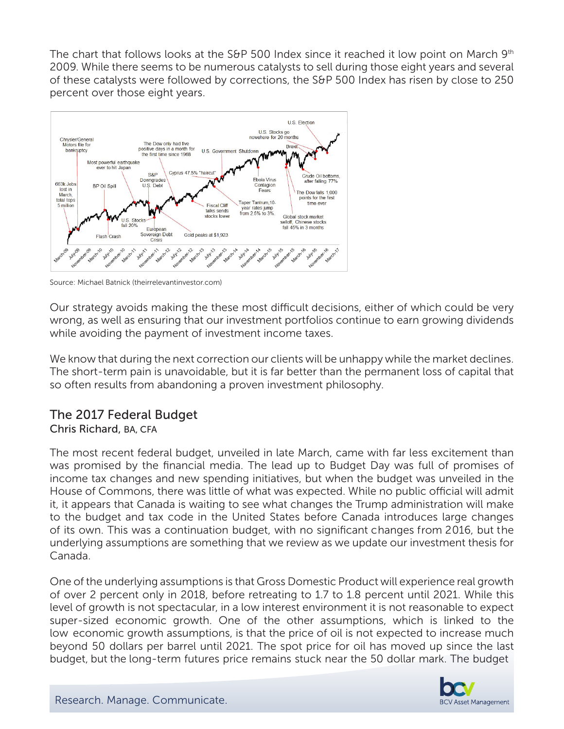The chart that follows looks at the S&P 500 Index since it reached it low point on March  $9<sup>th</sup>$ 2009. While there seems to be numerous catalysts to sell during those eight years and several of these catalysts were followed by corrections, the S&P 500 Index has risen by close to 250 percent over those eight years.



Source: Michael Batnick (theirrelevantinvestor.com)

Our strategy avoids making the these most difficult decisions, either of which could be very wrong, as well as ensuring that our investment portfolios continue to earn growing dividends while avoiding the payment of investment income taxes.

We know that during the next correction our clients will be unhappy while the market declines. The short-term pain is unavoidable, but it is far better than the permanent loss of capital that so often results from abandoning a proven investment philosophy.

# The 2017 Federal Budget

#### Chris Richard, BA, CFA

The most recent federal budget, unveiled in late March, came with far less excitement than was promised by the financial media. The lead up to Budget Day was full of promises of income tax changes and new spending initiatives, but when the budget was unveiled in the House of Commons, there was little of what was expected. While no public official will admit it, it appears that Canada is waiting to see what changes the Trump administration will make to the budget and tax code in the United States before Canada introduces large changes of its own. This was a continuation budget, with no significant changes from 2016, but the underlying assumptions are something that we review as we update our investment thesis for Canada.

One of the underlying assumptions is that Gross Domestic Product will experience real growth of over 2 percent only in 2018, before retreating to 1.7 to 1.8 percent until 2021. While this level of growth is not spectacular, in a low interest environment it is not reasonable to expect super-sized economic growth. One of the other assumptions, which is linked to the low economic growth assumptions, is that the price of oil is not expected to increase much beyond 50 dollars per barrel until 2021. The spot price for oil has moved up since the last budget, but the long-term futures price remains stuck near the 50 dollar mark. The budget

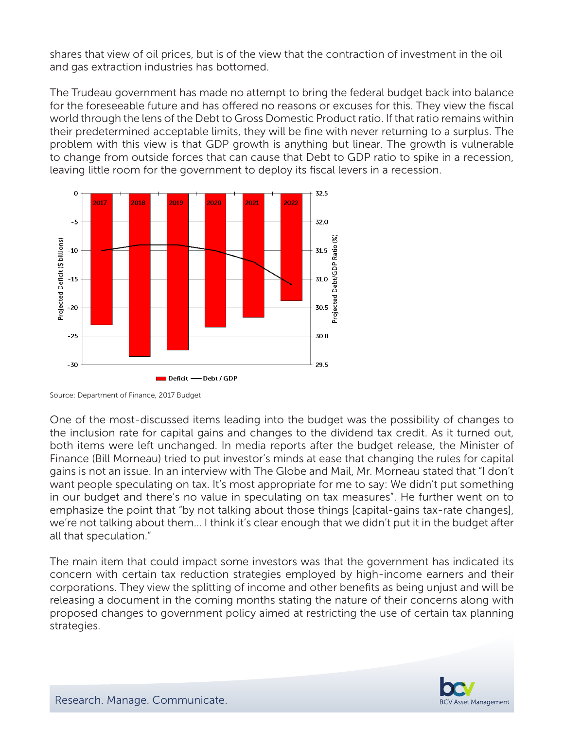shares that view of oil prices, but is of the view that the contraction of investment in the oil and gas extraction industries has bottomed.

The Trudeau government has made no attempt to bring the federal budget back into balance for the foreseeable future and has offered no reasons or excuses for this. They view the fiscal world through the lens of the Debt to Gross Domestic Product ratio. If that ratio remains within their predetermined acceptable limits, they will be fine with never returning to a surplus. The problem with this view is that GDP growth is anything but linear. The growth is vulnerable to change from outside forces that can cause that Debt to GDP ratio to spike in a recession, leaving little room for the government to deploy its fiscal levers in a recession.



Source: Department of Finance, 2017 Budget

One of the most-discussed items leading into the budget was the possibility of changes to the inclusion rate for capital gains and changes to the dividend tax credit. As it turned out, both items were left unchanged. In media reports after the budget release, the Minister of Finance (Bill Morneau) tried to put investor's minds at ease that changing the rules for capital gains is not an issue. In an interview with The Globe and Mail, Mr. Morneau stated that "I don't want people speculating on tax. It's most appropriate for me to say: We didn't put something in our budget and there's no value in speculating on tax measures". He further went on to emphasize the point that "by not talking about those things [capital-gains tax-rate changes], we're not talking about them… I think it's clear enough that we didn't put it in the budget after all that speculation."

The main item that could impact some investors was that the government has indicated its concern with certain tax reduction strategies employed by high-income earners and their corporations. They view the splitting of income and other benefits as being unjust and will be releasing a document in the coming months stating the nature of their concerns along with proposed changes to government policy aimed at restricting the use of certain tax planning strategies.

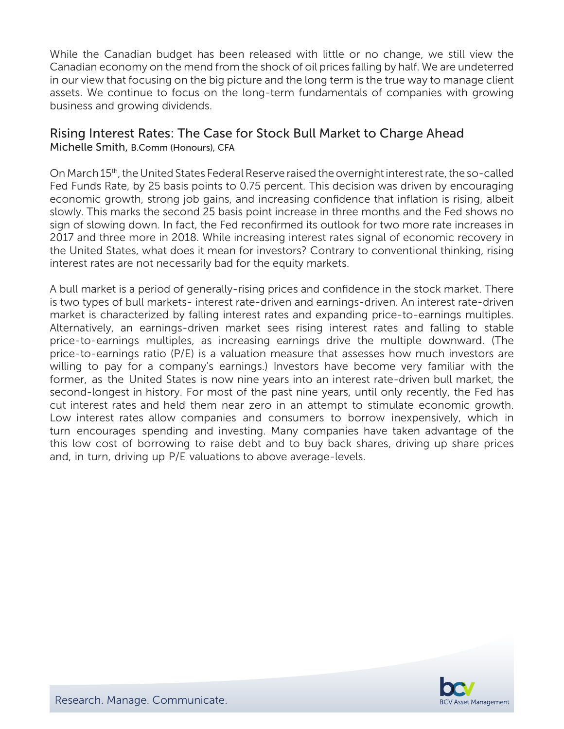While the Canadian budget has been released with little or no change, we still view the Canadian economy on the mend from the shock of oil prices falling by half. We are undeterred in our view that focusing on the big picture and the long term is the true way to manage client assets. We continue to focus on the long-term fundamentals of companies with growing business and growing dividends.

#### Rising Interest Rates: The Case for Stock Bull Market to Charge Ahead Michelle Smith, B.Comm (Honours), CFA

On March 15th, the United States Federal Reserve raised the overnight interest rate, the so-called Fed Funds Rate, by 25 basis points to 0.75 percent. This decision was driven by encouraging economic growth, strong job gains, and increasing confidence that inflation is rising, albeit slowly. This marks the second 25 basis point increase in three months and the Fed shows no sign of slowing down. In fact, the Fed reconfirmed its outlook for two more rate increases in 2017 and three more in 2018. While increasing interest rates signal of economic recovery in the United States, what does it mean for investors? Contrary to conventional thinking, rising interest rates are not necessarily bad for the equity markets.

A bull market is a period of generally-rising prices and confidence in the stock market. There is two types of bull markets- interest rate-driven and earnings-driven. An interest rate-driven market is characterized by falling interest rates and expanding price-to-earnings multiples. Alternatively, an earnings-driven market sees rising interest rates and falling to stable price-to-earnings multiples, as increasing earnings drive the multiple downward. (The price-to-earnings ratio (P/E) is a valuation measure that assesses how much investors are willing to pay for a company's earnings.) Investors have become very familiar with the former, as the United States is now nine years into an interest rate-driven bull market, the second-longest in history. For most of the past nine years, until only recently, the Fed has cut interest rates and held them near zero in an attempt to stimulate economic growth. Low interest rates allow companies and consumers to borrow inexpensively, which in turn encourages spending and investing. Many companies have taken advantage of the this low cost of borrowing to raise debt and to buy back shares, driving up share prices and, in turn, driving up P/E valuations to above average-levels.

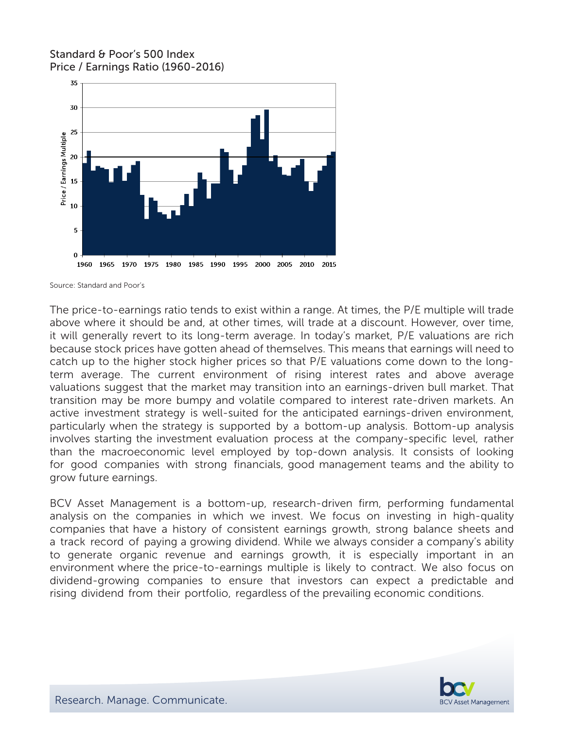### Standard & Poor's 500 Index Price / Earnings Ratio (1960-2016)



Source: Standard and Poor's

The price-to-earnings ratio tends to exist within a range. At times, the P/E multiple will trade above where it should be and, at other times, will trade at a discount. However, over time, it will generally revert to its long-term average. In today's market, P/E valuations are rich because stock prices have gotten ahead of themselves. This means that earnings will need to catch up to the higher stock higher prices so that P/E valuations come down to the longterm average. The current environment of rising interest rates and above average valuations suggest that the market may transition into an earnings-driven bull market. That transition may be more bumpy and volatile compared to interest rate-driven markets. An active investment strategy is well-suited for the anticipated earnings-driven environment, particularly when the strategy is supported by a bottom-up analysis. Bottom-up analysis involves starting the investment evaluation process at the company-specific level, rather than the macroeconomic level employed by top-down analysis. It consists of looking for good companies with strong financials, good management teams and the ability to grow future earnings.

BCV Asset Management is a bottom-up, research-driven firm, performing fundamental analysis on the companies in which we invest. We focus on investing in high-quality companies that have a history of consistent earnings growth, strong balance sheets and a track record of paying a growing dividend. While we always consider a company's ability to generate organic revenue and earnings growth, it is especially important in an environment where the price-to-earnings multiple is likely to contract. We also focus on dividend-growing companies to ensure that investors can expect a predictable and rising dividend from their portfolio, regardless of the prevailing economic conditions.